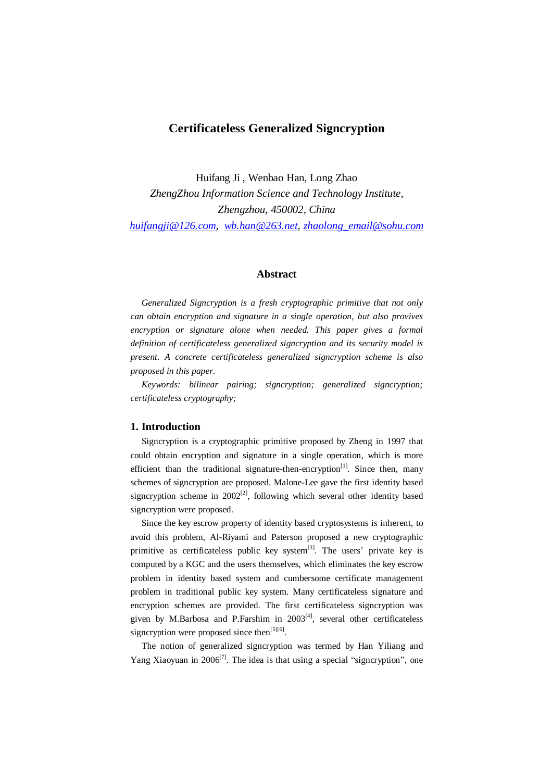# **Certificateless Generalized Signcryption**

Huifang Ji , Wenbao Han, Long Zhao *ZhengZhou Information Science and Technology Institute, Zhengzhou, 450002, China huifangji@126.com, wb.han@263.net, zhaolong\_email@sohu.com* 

# **Abstract**

*Generalized Signcryption is a fresh cryptographic primitive that not only can obtain encryption and signature in a single operation, but also provives encryption or signature alone when needed. This paper gives a formal definition of certificateless generalized signcryption and its security model is present. A concrete certificateless generalized signcryption scheme is also proposed in this paper.* 

*Keywords: bilinear pairing; signcryption; generalized signcryption; certificateless cryptography;* 

### **1. Introduction**

Signcryption is a cryptographic primitive proposed by Zheng in 1997 that could obtain encryption and signature in a single operation, which is more efficient than the traditional signature-then-encryption<sup>[1]</sup>. Since then, many schemes of signcryption are proposed. Malone-Lee gave the first identity based signcryption scheme in  $2002^{[2]}$ , following which several other identity based signcryption were proposed.

Since the key escrow property of identity based cryptosystems is inherent, to avoid this problem, Al-Riyami and Paterson proposed a new cryptographic primitive as certificateless public key system<sup>[3]</sup>. The users' private key is computed by a KGC and the users themselves, which eliminates the key escrow problem in identity based system and cumbersome certificate management problem in traditional public key system. Many certificateless signature and encryption schemes are provided. The first certificateless signcryption was given by M.Barbosa and P.Farshim in  $2003<sup>[4]</sup>$ , several other certificateless signcryption were proposed since then $^{[5][6]}$ .

The notion of generalized signcryption was termed by Han Yiliang and Yang Xiaoyuan in  $2006^{[7]}$ . The idea is that using a special "signcryption", one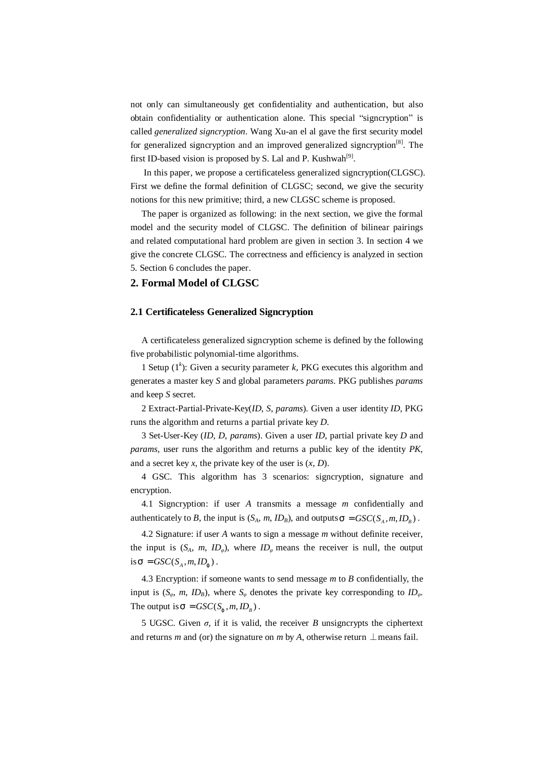not only can simultaneously get confidentiality and authentication, but also obtain confidentiality or authentication alone. This special "signcryption" is called *generalized signcryption*. Wang Xu-an el al gave the first security model for generalized signcryption and an improved generalized signcryption<sup>[8]</sup>. The first ID-based vision is proposed by S. Lal and P. Kushwah<sup>[9]</sup>.

In this paper, we propose a certificateless generalized signcryption(CLGSC). First we define the formal definition of CLGSC; second, we give the security notions for this new primitive; third, a new CLGSC scheme is proposed.

The paper is organized as following: in the next section, we give the formal model and the security model of CLGSC. The definition of bilinear pairings and related computational hard problem are given in section 3. In section 4 we give the concrete CLGSC. The correctness and efficiency is analyzed in section 5. Section 6 concludes the paper.

# **2. Formal Model of CLGSC**

### **2.1 Certificateless Generalized Signcryption**

A certificateless generalized signcryption scheme is defined by the following five probabilistic polynomial-time algorithms.

1 Setup  $(1^k)$ : Given a security parameter *k*, PKG executes this algorithm and generates a master key *S* and global parameters *params*. PKG publishes *params* and keep *S* secret.

2 Extract-Partial-Private-Key(*ID*, *S*, *params*). Given a user identity *ID*, PKG runs the algorithm and returns a partial private key *D*.

3 Set-User-Key (*ID*, *D*, *params*). Given a user *ID*, partial private key *D* and *params*, user runs the algorithm and returns a public key of the identity *PK*, and a secret key *x*, the private key of the user is (*x*, *D*).

4 GSC. This algorithm has 3 scenarios: signcryption, signature and encryption.

4.1 Signcryption: if user *A* transmits a message *m* confidentially and authenticately to *B*, the input is  $(S_A, m, ID_B)$ , and outputs  $\mathbf{S} = GSC(S_A, m, ID_B)$ .

4.2 Signature: if user *A* wants to sign a message *m* without definite receiver, the input is  $(S_A, m, ID_\varphi)$ , where  $ID_\varphi$  means the receiver is null, the output  $\text{is } \mathbf{s} = GSC(S_A, m, ID_j).$ 

4.3 Encryption: if someone wants to send message *m* to *B* confidentially, the input is  $(S_\varphi, m, ID_B)$ , where  $S_\varphi$  denotes the private key corresponding to  $ID_\varphi$ . The output is  $\mathbf{s} = GSC(S_j, m, ID_B)$ .

5 UGSC. Given  $\sigma$ , if it is valid, the receiver *B* unsigncrypts the ciphertext and returns *m* and (or) the signature on *m* by *A*, otherwise return  $\perp$  means fail.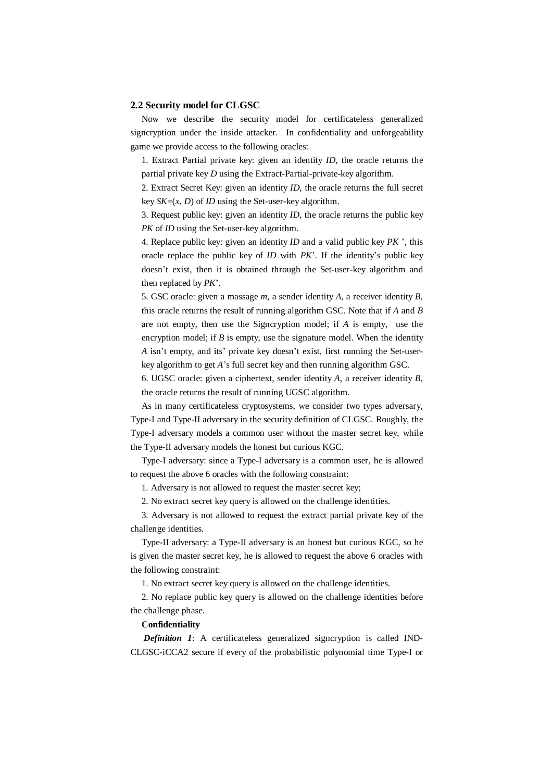### **2.2 Security model for CLGSC**

Now we describe the security model for certificateless generalized signcryption under the inside attacker. In confidentiality and unforgeability game we provide access to the following oracles:

1. Extract Partial private key: given an identity *ID*, the oracle returns the partial private key *D* using the Extract-Partial-private-key algorithm.

2. Extract Secret Key: given an identity *ID*, the oracle returns the full secret key *SK*=(*x*, *D*) of *ID* using the Set-user-key algorithm.

3. Request public key: given an identity *ID*, the oracle returns the public key *PK* of *ID* using the Set-user-key algorithm.

4. Replace public key: given an identity *ID* and a valid public key *PK* ', this oracle replace the public key of *ID* with *PK*'. If the identity's public key doesn't exist, then it is obtained through the Set-user-key algorithm and then replaced by *PK*'.

5. GSC oracle: given a massage *m*, a sender identity *A*, a receiver identity *B*, this oracle returns the result of running algorithm GSC. Note that if *A* and *B* are not empty, then use the Signcryption model; if *A* is empty, use the encryption model; if  $B$  is empty, use the signature model. When the identity *A* isn't empty, and its' private key doesn't exist, first running the Set-userkey algorithm to get *A*'s full secret key and then running algorithm GSC.

6. UGSC oracle: given a ciphertext, sender identity *A*, a receiver identity *B*, the oracle returns the result of running UGSC algorithm.

As in many certificateless cryptosystems, we consider two types adversary, Type-I and Type-II adversary in the security definition of CLGSC. Roughly, the Type-I adversary models a common user without the master secret key, while the Type-II adversary models the honest but curious KGC.

Type-I adversary: since a Type-I adversary is a common user, he is allowed to request the above 6 oracles with the following constraint:

1. Adversary is not allowed to request the master secret key;

2. No extract secret key query is allowed on the challenge identities.

3. Adversary is not allowed to request the extract partial private key of the challenge identities.

Type-II adversary: a Type-II adversary is an honest but curious KGC, so he is given the master secret key, he is allowed to request the above 6 oracles with the following constraint:

1. No extract secret key query is allowed on the challenge identities.

2. No replace public key query is allowed on the challenge identities before the challenge phase.

### **Confidentiality**

*Definition 1*: A certificateless generalized signcryption is called IND-CLGSC-iCCA2 secure if every of the probabilistic polynomial time Type-I or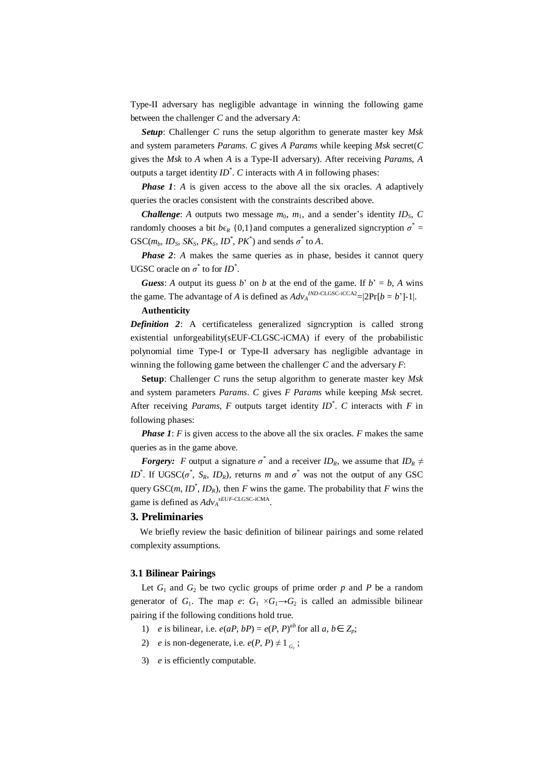Type-II adversary has negligible advantage in winning the following game between the challenger *C* and the adversary *A*:

*Setup*: Challenger *C* runs the setup algorithm to generate master key *Msk* and system parameters *Params*. *C* gives *A Params* while keeping *Msk* secret(*C* gives the *Msk* to *A* when *A* is a Type-II adversary). After receiving *Params*, *A*  outputs a target identity  $ID^*$ .  $C$  interacts with  $A$  in following phases:

*Phase 1*: *A* is given access to the above all the six oracles. *A* adaptively queries the oracles consistent with the constraints described above.

*Challenge: A* outputs two message  $m_0$ ,  $m_1$ , and a sender's identity  $ID_S$ , C randomly chooses a bit  $b\epsilon_R$  {0,1}and computes a generalized signcryption  $\sigma^* =$ GSC( $m_b$ ,  $ID_s$ ,  $SK_s$ ,  $PK_s$ ,  $ID^*$ ,  $PK^*$ ) and sends  $\sigma^*$  to  $A$ .

*Phase 2: A* makes the same queries as in phase, besides it cannot query UGSC oracle on  $\sigma^*$  to for *ID*<sup>\*</sup>.

*Guess*: *A* output its guess *b*' on *b* at the end of the game. If  $b' = b$ , *A* wins the game. The advantage of *A* is defined as  $Adv_A^{IND-CLGSC-iCCA2} = |2Pr[b = b']-1|$ .

# **Authenticity**

*Definition 2*: A certificateless generalized signcryption is called strong existential unforgeability(sEUF-CLGSC-iCMA) if every of the probabilistic polynomial time Type-I or Type-II adversary has negligible advantage in winning the following game between the challenger *C* and the adversary *F*:

**Setup**: Challenger *C* runs the setup algorithm to generate master key *Msk* and system parameters *Params*. *C* gives *F Params* while keeping *Msk* secret. After receiving *Params*, *F* outputs target identity *ID\** . *C* interacts with *F* in following phases:

*Phase 1*: *F* is given access to the above all the six oracles. *F* makes the same queries as in the game above.

*Forgery: F* output a signature  $\sigma^*$  and a receiver *ID<sub>R</sub>*, we assume that *ID<sub>R</sub>*  $\neq$ *ID*<sup>\*</sup>. If UGSC( $\sigma$ <sup>\*</sup>, *S<sub>R</sub>*, *ID<sub>R</sub>*), returns *m* and  $\sigma$ <sup>\*</sup> was not the output of any GSC query  $GSC(m, ID^*, ID_R)$ , then *F* wins the game. The probability that *F* wins the game is defined as  $Adv_A^{sEUF-CLGSC-iCMA}$ .

### **3. Preliminaries**

 We briefly review the basic definition of bilinear pairings and some related complexity assumptions.

#### **3.1 Bilinear Pairings**

Let  $G_1$  and  $G_2$  be two cyclic groups of prime order  $p$  and  $P$  be a random generator of  $G_1$ . The map  $e: G_1 \times G_1 \rightarrow G_2$  is called an admissible bilinear pairing if the following conditions hold true.

- 1) *e* is bilinear, i.e.  $e(aP, bP) = e(P, P)^{ab}$  for all  $a, b \in Z_p$ ;
- 2) *e* is non-degenerate, i.e.  $e(P, P) \neq 1_{G_2}$ ;
- 3) *e* is efficiently computable.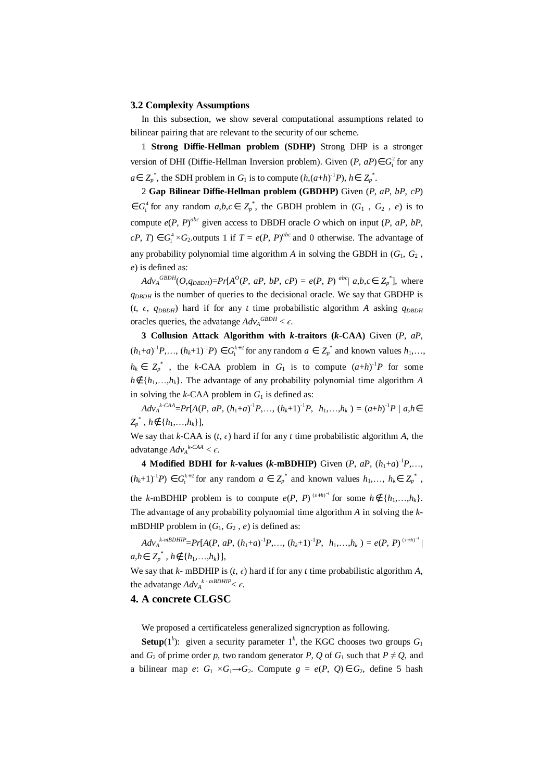### **3.2 Complexity Assumptions**

In this subsection, we show several computational assumptions related to bilinear pairing that are relevant to the security of our scheme.

1 **Strong Diffie-Hellman problem (SDHP)** Strong DHP is a stronger version of DHI (Diffie-Hellman Inversion problem). Given  $(P, aP) \in G_1^2$  for any  $a \in Z_p^*$ , the SDH problem in  $G_1$  is to compute  $(h,(a+h)^{-1}P)$ ,  $h \in Z_p^*$ .

2 **Gap Bilinear Diffie-Hellman problem (GBDHP)** Given (*P*, *aP*, *bP*, *cP*)  $\in G_1^4$  for any random  $a,b,c \in Z_p^*$ , the GBDH problem in  $(G_1, G_2, e)$  is to compute  $e(P, P)^{abc}$  given access to DBDH oracle O which on input  $(P, aP, bP)$ , *cP*, *T*) ∈ *G*<sup>4</sup><sub>1</sub> ×*G*<sub>2</sub>.outputs 1 if *T* = *e*(*P*, *P*)<sup>*abc*</sup> and 0 otherwise. The advantage of any probability polynomial time algorithm  $A$  in solving the GBDH in  $(G_1, G_2)$ , *e*) is defined as:

 $Adv_A^{GBDH}(O,q_{DBDH})=Pr[A^{O}(P, aP, bP, cP) = e(P, P)^{abc} | a,b,c \in Z_p^*],$  where  $q_{DBDH}$  is the number of queries to the decisional oracle. We say that GBDHP is ( $t$ ,  $\epsilon$ ,  $q_{DBDH}$ ) hard if for any  $t$  time probabilistic algorithm  $A$  asking  $q_{DBDH}$ oracles queries, the advatange  $Adv_A^{GBDH} < \epsilon$ .

**3 Collusion Attack Algorithm with** *k***-traitors (***k***-CAA)** Given (*P*, *aP*,  $(h_1 + a)^{-1}P, ..., (h_k + 1)^{-1}P$   $\in G_1^{k+2}$  for any random  $a \in Z_p^*$  and known values  $h_1, ...,$  $h_k \in Z_p^*$ , the *k*-CAA problem in  $G_1$  is to compute  $(a+h)^{-1}P$  for some *h*∉ { $h_1$ , ..., $h_k$ }. The advantage of any probability polynomial time algorithm *A* in solving the  $k$ -CAA problem in  $G_1$  is defined as:

 $Adv_A^{k\text{-}CAA} = Pr[A(P, aP, (h_1+a)^{-1}P, \ldots, (h_k+1)^{-1}P, h_1, \ldots, h_k) = (a+h)^{-1}P \mid a, h \in \mathbb{R}$ *Zp* \* , *h*∉{*h*1,…,*hk*}],

We say that  $k$ -CAA is  $(t, \epsilon)$  hard if for any  $t$  time probabilistic algorithm  $A$ , the advatange  $Adv_A^{k\text{-}CAA} < \epsilon$ .

**4 Modified BDHI** for *k***-values** (*k***-mBDHIP**) Given (*P*,  $aP$ ,  $(h_1+a)^{-1}P$ ,...,  $(h_k+1)^{-1}P$   $\in G_1^{k+2}$  for any random  $a \in Z_p^*$  and known values  $h_1, \ldots, h_k \in Z_p^*$ ,

the *k*-mBDHIP problem is to compute  $e(P, P)^{(s+h)^{-1}}$  for some  $h \notin \{h_1, \ldots, h_k\}.$ The advantage of any probability polynomial time algorithm *A* in solving the *k*mBDHIP problem in  $(G_1, G_2, e)$  is defined as:

 $Adv_A^{k\text{-}mBDHIP} = Pr[A(P, aP, (h_1+a)^{-1}P, \ldots, (h_k+1)^{-1}P, h_1, \ldots, h_k) = e(P, P)^{(s+h)^{-1}}$ *a*,*h*∈  $Z_p^*$ , *h*∉ {*h*<sub>1</sub>,…,*h*<sub>*k*</sub>}],

We say that  $k$ - mBDHIP is  $(t, \epsilon)$  hard if for any  $t$  time probabilistic algorithm  $A$ , the advatange  $Adv_A^{k-mBDHP} < \epsilon$ .

# **4. A concrete CLGSC**

We proposed a certificateless generalized signcryption as following.

**Setup**(1<sup>k</sup>): given a security parameter 1<sup>k</sup>, the KGC chooses two groups  $G_1$ and  $G_2$  of prime order *p*, two random generator *P*, *Q* of  $G_1$  such that  $P \neq Q$ , and a bilinear map *e*:  $G_1 \times G_1 \rightarrow G_2$ . Compute  $g = e(P, Q) \in G_2$ , define 5 hash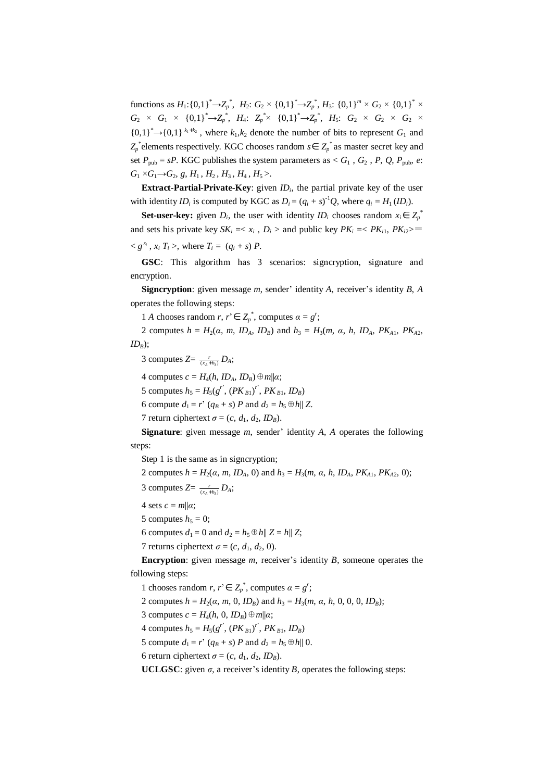functions as  $H_1$ :{0,1}<sup>\*</sup>→ $Z_p$ <sup>\*</sup>,  $H_2$ :  $G_2 \times \{0,1\}$ <sup>\*</sup>→ $Z_p$ <sup>\*</sup>,  $H_3$ : {0,1}<sup>m</sup> ×  $G_2 \times \{0,1\}^*$  ×  $G_2$  ×  $G_1$  × {0,1}<sup>\*</sup>→Z<sub>p</sub><sup>\*</sup>, *H*<sub>4</sub>: Z<sub>p</sub><sup>\*</sup>× {0,1}<sup>\*</sup>→Z<sub>p</sub><sup>\*</sup>, *H*<sub>5</sub>:  $G_2$  ×  $G_2$  ×  $G_2$  ×  ${0,1}^* \rightarrow {0,1}^k$ <sup>k<sub>1</sub>+k<sub>2</sub></sub>, where  $k_1, k_2$  denote the number of bits to represent  $G_1$  and</sup> *Z*<sub>*p*</sub><sup>∗</sup> elements respectively. KGC chooses random *s*∈ *Z*<sub>*p*</sub><sup>∗</sup> as master secret key and set  $P_{\text{pub}} = sP$ . KGC publishes the system parameters as <  $G_1$ ,  $G_2$ ,  $P$ ,  $Q$ ,  $P_{\text{pub}}$ ,  $e$ :  $G_1$  × $G_1$ → $G_2$ , *g*, *H*<sub>1</sub>, *H*<sub>2</sub>, *H*<sub>3</sub>, *H*<sub>4</sub>, *H*<sub>5</sub>>.

**Extract-Partial-Private-Key**: given *ID<sub>i</sub>*, the partial private key of the user with identity *ID*<sup>*i*</sup> is computed by KGC as  $D_i = (q_i + s)^{-1}Q$ , where  $q_i = H_1 (ID_i)$ .

**Set-user-key:** given  $D_i$ , the user with identity  $ID_i$  chooses random  $x_i \in Z_p^*$ and sets his private key  $SK_i = \langle x_i, D_i \rangle$  and public key  $PK_i = \langle PK_{i1}, PK_{i2} \rangle =$  $\langle g^{x_i}, x_i | T_i \rangle$ , where  $T_i = (q_i + s) P$ .

**GSC**: This algorithm has 3 scenarios: signcryption, signature and encryption.

**Signcryption**: given message *m*, sender' identity *A*, receiver's identity *B*, *A* operates the following steps:

1 *A* chooses random *r*,  $r' \in Z_p^*$ , computes  $\alpha = g'$ ;

2 computes  $h = H_2(\alpha, m, ID_A, ID_B)$  and  $h_3 = H_3(m, \alpha, h, ID_A, PK_{A1}, PK_{A2})$ *IDB*);

3 computes  $Z = \frac{r}{(x_A + h_3)} D_A$ ;

 $4$  computes  $c = H_4(h, ID_A, ID_B) \oplus m||\alpha;$ 

5 computes  $h_5 = H_5(g^{r^2}, (PK_{B1})^{r^2}, PK_{B1}, ID_B)$ 

6 compute  $d_1 = r^3 (q_B + s)$  *P* and  $d_2 = h_5 \oplus h || Z$ .

7 return ciphertext  $\sigma = (c, d_1, d_2, ID_B)$ .

**Signature**: given message *m*, sender' identity *A*, *A* operates the following steps:

Step 1 is the same as in signcryption;

2 computes  $h = H_2(\alpha, m, ID_A, 0)$  and  $h_3 = H_3(m, \alpha, h, ID_A, PK_{A1}, PK_{A2}, 0);$ 

- 3 computes  $Z = \frac{r}{(x_A + h_3)} D_A$ ;
- 4 sets  $c = m||a$ ;
- 5 computes  $h_5 = 0$ ;

6 computes  $d_1 = 0$  and  $d_2 = h_5 \oplus h || Z = h || Z;$ 

7 returns ciphertext  $\sigma = (c, d_1, d_2, 0)$ .

**Encryption**: given message *m*, receiver's identity *B*, someone operates the following steps:

1 chooses random *r*,  $r' \in Z_p^*$ , computes  $\alpha = g^r$ ;

2 computes  $h = H_2(\alpha, m, 0, ID_B)$  and  $h_3 = H_3(m, \alpha, h, 0, 0, 0, ID_B)$ ;

3 computes  $c = H<sub>4</sub>(h, 0, ID<sub>B</sub>) \oplus m||a;$ 

4 computes  $h_5 = H_5(g^{r^2}, (PK_{B1})^{r^2}, PK_{B1}, ID_B)$ 

5 compute  $d_1 = r^3 (q_B + s)$  *P* and  $d_2 = h_5 \oplus h || 0$ .

6 return ciphertext  $\sigma = (c, d_1, d_2, ID_B)$ .

**UCLGSC**: given  $\sigma$ , a receiver's identity *B*, operates the following steps: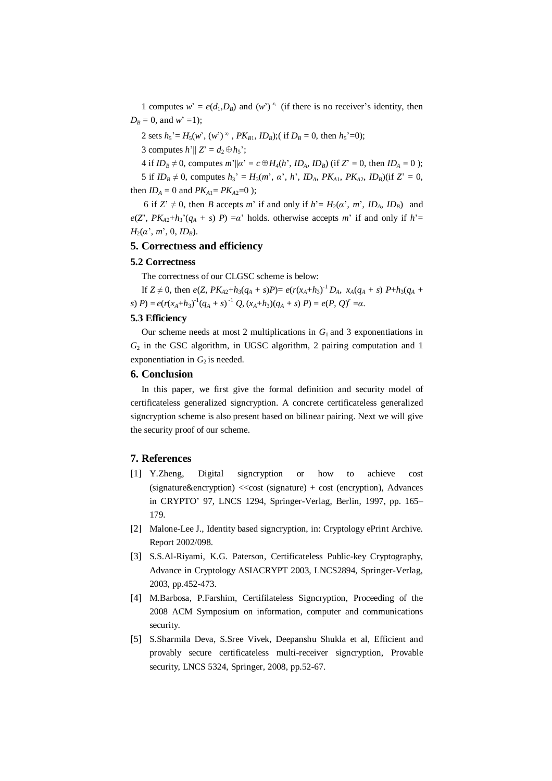1 computes  $w' = e(d_1, D_B)$  and  $(w')^{x_i}$  (if there is no receiver's identity, then  $D_B = 0$ , and *w*' =1);

2 sets  $h_5' = H_5(w', (w')^{x_i}$ ,  $PK_{B1}$ ,  $ID_B$ );( if  $D_B = 0$ , then  $h_5' = 0$ );

3 computes  $h'||Z' = d_2 \oplus h_5$ ';

4 if  $ID_B \neq 0$ , computes  $m^2 || \alpha^2 = c \oplus H_4(h^2, ID_A, ID_B)$  (if  $Z^2 = 0$ , then  $ID_A = 0$ );

5 if  $ID_B \neq 0$ , computes  $h_3' = H_3(m', \alpha', h', ID_A, PK_{A1}, PK_{A2}, ID_B)($ if  $Z' = 0$ , then  $ID_A = 0$  and  $PK_{A1} = PK_{A2} = 0$  );

6 if  $Z' \neq 0$ , then *B* accepts *m*' if and only if  $h' = H_2(\alpha', m', ID_A, ID_B)$  and  $e(Z', PK_{A2}+h_3'(q_A + s) P) = a'$  holds. otherwise accepts *m*' if and only if *h*'=  $H_2(a', m', 0, ID_B)$ .

## **5. Correctness and efficiency**

#### **5.2 Correctness**

The correctness of our CLGSC scheme is below:

If  $Z \neq 0$ , then  $e(Z, PK_{A2}+h_3(q_A + s)P) = e(r(x_A + h_3)^{-1}D_A, x_A(q_A + s)P+h_3(q_A + s))$ s)  $P$ ) =  $e(r(x_A+h_3)^{-1}(q_A+s)^{-1}Q, (x_A+h_3)(q_A+s)P) = e(P, Q)^{r} = \alpha.$ 

### **5.3 Efficiency**

Our scheme needs at most 2 multiplications in  $G_1$  and 3 exponentiations in  $G<sub>2</sub>$  in the GSC algorithm, in UGSC algorithm, 2 pairing computation and 1 exponentiation in  $G_2$  is needed.

# **6. Conclusion**

In this paper, we first give the formal definition and security model of certificateless generalized signcryption. A concrete certificateless generalized signcryption scheme is also present based on bilinear pairing. Next we will give the security proof of our scheme.

### **7. References**

- [1] Y.Zheng, Digital signcryption or how to achieve cost  $(signature\&encryption) \ll cost (signature) + cost (encryption), Advances$ in CRYPTO' 97, LNCS 1294, Springer-Verlag, Berlin, 1997, pp. 165– 179.
- [2] Malone-Lee J., Identity based signcryption, in: Cryptology ePrint Archive. Report 2002/098.
- [3] S.S.Al-Riyami, K.G. Paterson, Certificateless Public-key Cryptography, Advance in Cryptology ASIACRYPT 2003, LNCS2894, Springer-Verlag, 2003, pp.452-473.
- [4] M.Barbosa, P.Farshim, Certifilateless Signcryption, Proceeding of the 2008 ACM Symposium on information, computer and communications security.
- [5] S.Sharmila Deva, S.Sree Vivek, Deepanshu Shukla et al, Efficient and provably secure certificateless multi-receiver signcryption, Provable security, LNCS 5324, Springer, 2008, pp.52-67.